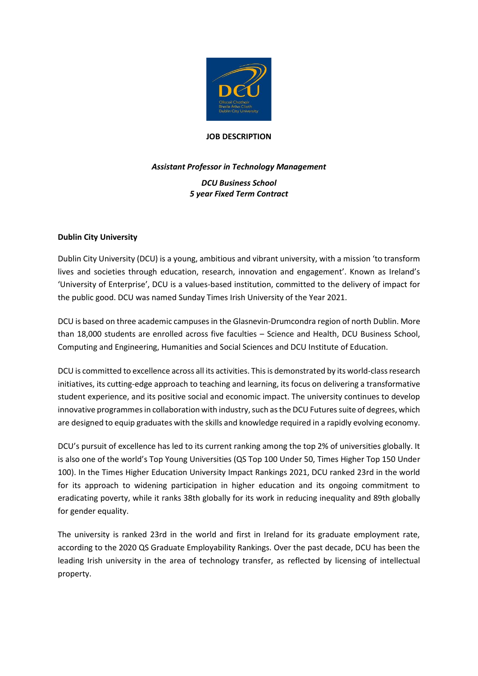

## **JOB DESCRIPTION**

# *Assistant Professor in Technology Management DCU Business School 5 year Fixed Term Contract*

# **Dublin City University**

Dublin City University (DCU) is a young, ambitious and vibrant university, with a mission 'to transform lives and societies through education, research, innovation and engagement'. Known as Ireland's 'University of Enterprise', DCU is a values-based institution, committed to the delivery of impact for the public good. DCU was named Sunday Times Irish University of the Year 2021.

DCU is based on three academic campuses in the Glasnevin-Drumcondra region of north Dublin. More than 18,000 students are enrolled across five faculties – Science and Health, DCU Business School, Computing and Engineering, Humanities and Social Sciences and DCU Institute of Education.

DCU is committed to excellence across all its activities. This is demonstrated by its world-class research initiatives, its cutting-edge approach to teaching and learning, its focus on delivering a transformative student experience, and its positive social and economic impact. The university continues to develop innovative programmes in collaboration with industry, such as the DCU Futures suite of degrees, which are designed to equip graduates with the skills and knowledge required in a rapidly evolving economy.

DCU's pursuit of excellence has led to its current ranking among the top 2% of universities globally. It is also one of the world's Top Young Universities (QS Top 100 Under 50, Times Higher Top 150 Under 100). In the Times Higher Education University Impact Rankings 2021, DCU ranked 23rd in the world for its approach to widening participation in higher education and its ongoing commitment to eradicating poverty, while it ranks 38th globally for its work in reducing inequality and 89th globally for gender equality.

The university is ranked 23rd in the world and first in Ireland for its graduate employment rate, according to the 2020 QS Graduate Employability Rankings. Over the past decade, DCU has been the leading Irish university in the area of technology transfer, as reflected by licensing of intellectual property.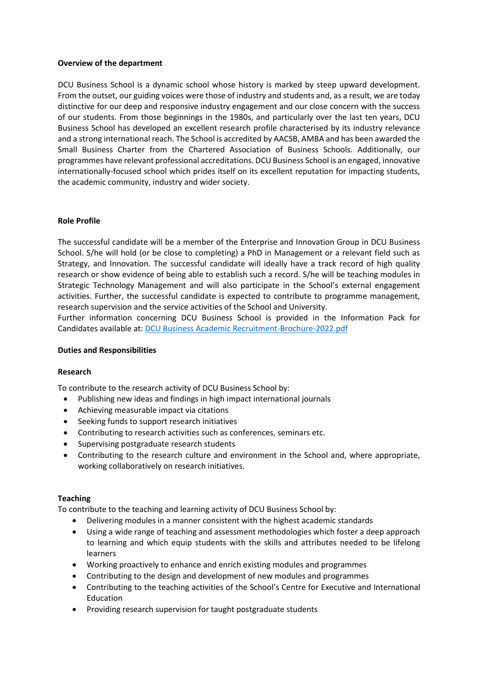## **Overview of the department**

DCU Business School is a dynamic school whose history is marked by steep upward development. From the outset, our guiding voices were those of industry and students and, as a result, we are today distinctive for our deep and responsive industry engagement and our close concern with the success of our students. From those beginnings in the 1980s, and particularly over the last ten years, DCU Business School has developed an excellent research profile characterised by its industry relevance and a strong international reach. The School is accredited by AACSB, AMBA and has been awarded the Small Business Charter from the Chartered Association of Business Schools. Additionally, our programmes have relevant professional accreditations. DCU Business School is an engaged, innovative internationally-focused school which prides itself on its excellent reputation for impacting students, the academic community, industry and wider society.

# **Role Profile**

The successful candidate will be a member of the Enterprise and Innovation Group in DCU Business School. S/he will hold (or be close to completing) a PhD in Management or a relevant field such as Strategy, and Innovation. The successful candidate will ideally have a track record of high quality research or show evidence of being able to establish such a record. S/he will be teaching modules in Strategic Technology Management and will also participate in the School's external engagement activities. Further, the successful candidate is expected to contribute to programme management, research supervision and the service activities of the School and University.

Further information concerning DCU Business School is provided in the Information Pack for Candidates available at: [DCU Business Academic Recruitment-Brochure-2022.pdf](file://///ad/data/DEPT/HR/ALL/HR-Staff%20work%20folders/Emer%20McKenna/DCU%20Business%20Academic%20Recruitment-Brochure-2022.pdf)

## **Duties and Responsibilities**

## **Research**

To contribute to the research activity of DCU Business School by:

- Publishing new ideas and findings in high impact international journals
- Achieving measurable impact via citations
- Seeking funds to support research initiatives
- Contributing to research activities such as conferences, seminars etc.
- Supervising postgraduate research students
- Contributing to the research culture and environment in the School and, where appropriate, working collaboratively on research initiatives.

## **Teaching**

To contribute to the teaching and learning activity of DCU Business School by:

- Delivering modules in a manner consistent with the highest academic standards
- Using a wide range of teaching and assessment methodologies which foster a deep approach to learning and which equip students with the skills and attributes needed to be lifelong learners
- Working proactively to enhance and enrich existing modules and programmes
- Contributing to the design and development of new modules and programmes
- Contributing to the teaching activities of the School's Centre for Executive and International Education
- Providing research supervision for taught postgraduate students